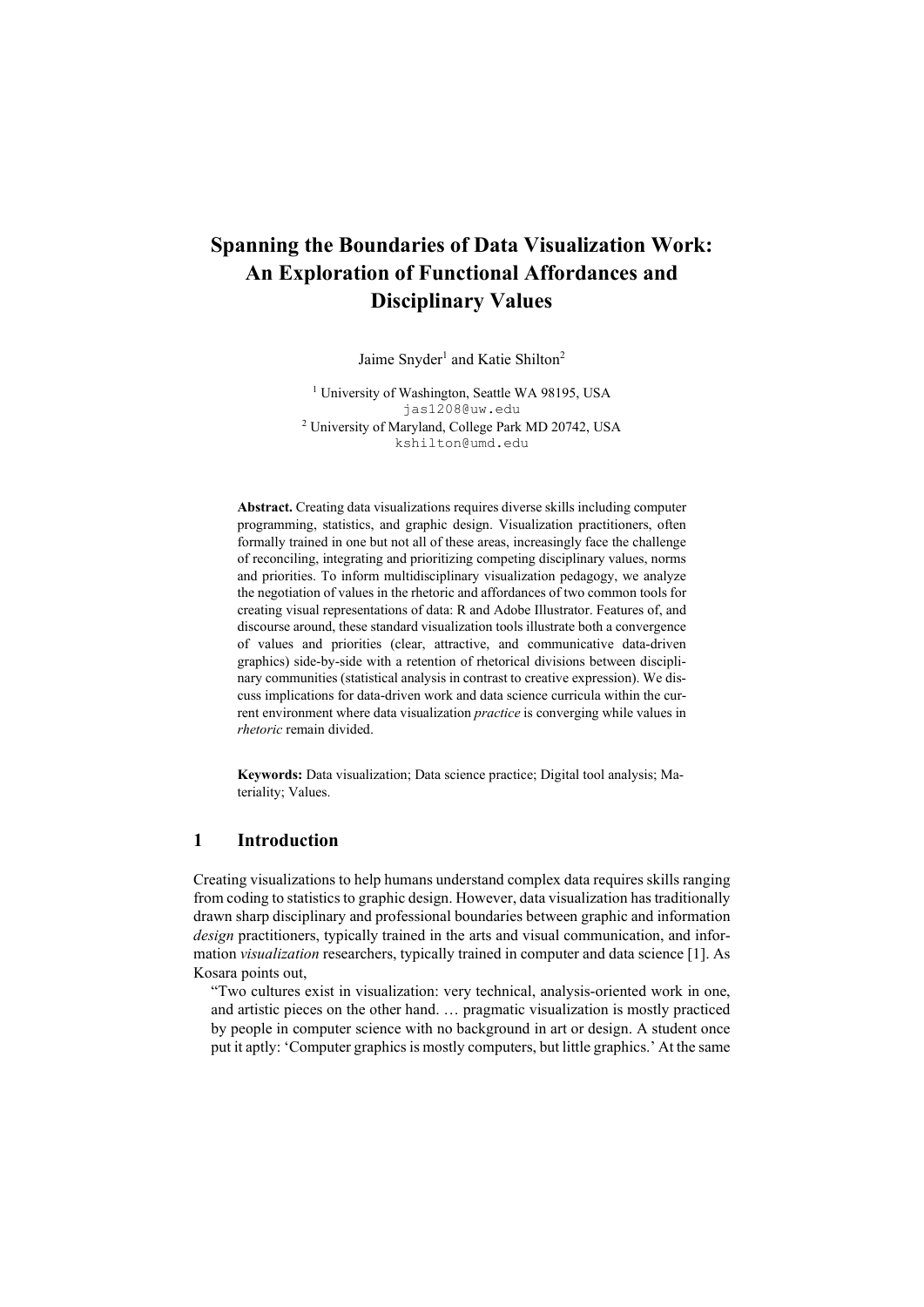# **Spanning the Boundaries of Data Visualization Work: An Exploration of Functional Affordances and Disciplinary Values**

Jaime Snyder<sup>1</sup> and Katie Shilton<sup>2</sup>

<sup>1</sup> University of Washington, Seattle WA 98195, USA jas1208@uw.edu <sup>2</sup> University of Maryland, College Park MD 20742, USA kshilton@umd.edu

**Abstract.** Creating data visualizations requires diverse skills including computer programming, statistics, and graphic design. Visualization practitioners, often formally trained in one but not all of these areas, increasingly face the challenge of reconciling, integrating and prioritizing competing disciplinary values, norms and priorities. To inform multidisciplinary visualization pedagogy, we analyze the negotiation of values in the rhetoric and affordances of two common tools for creating visual representations of data: R and Adobe Illustrator. Features of, and discourse around, these standard visualization tools illustrate both a convergence of values and priorities (clear, attractive, and communicative data-driven graphics) side-by-side with a retention of rhetorical divisions between disciplinary communities (statistical analysis in contrast to creative expression). We discuss implications for data-driven work and data science curricula within the current environment where data visualization *practice* is converging while values in *rhetoric* remain divided.

**Keywords:** Data visualization; Data science practice; Digital tool analysis; Materiality; Values.

# **1 Introduction**

Creating visualizations to help humans understand complex data requires skills ranging from coding to statistics to graphic design. However, data visualization has traditionally drawn sharp disciplinary and professional boundaries between graphic and information *design* practitioners, typically trained in the arts and visual communication, and information *visualization* researchers, typically trained in computer and data science [1]. As Kosara points out,

"Two cultures exist in visualization: very technical, analysis-oriented work in one, and artistic pieces on the other hand. … pragmatic visualization is mostly practiced by people in computer science with no background in art or design. A student once put it aptly: 'Computer graphics is mostly computers, but little graphics.' At the same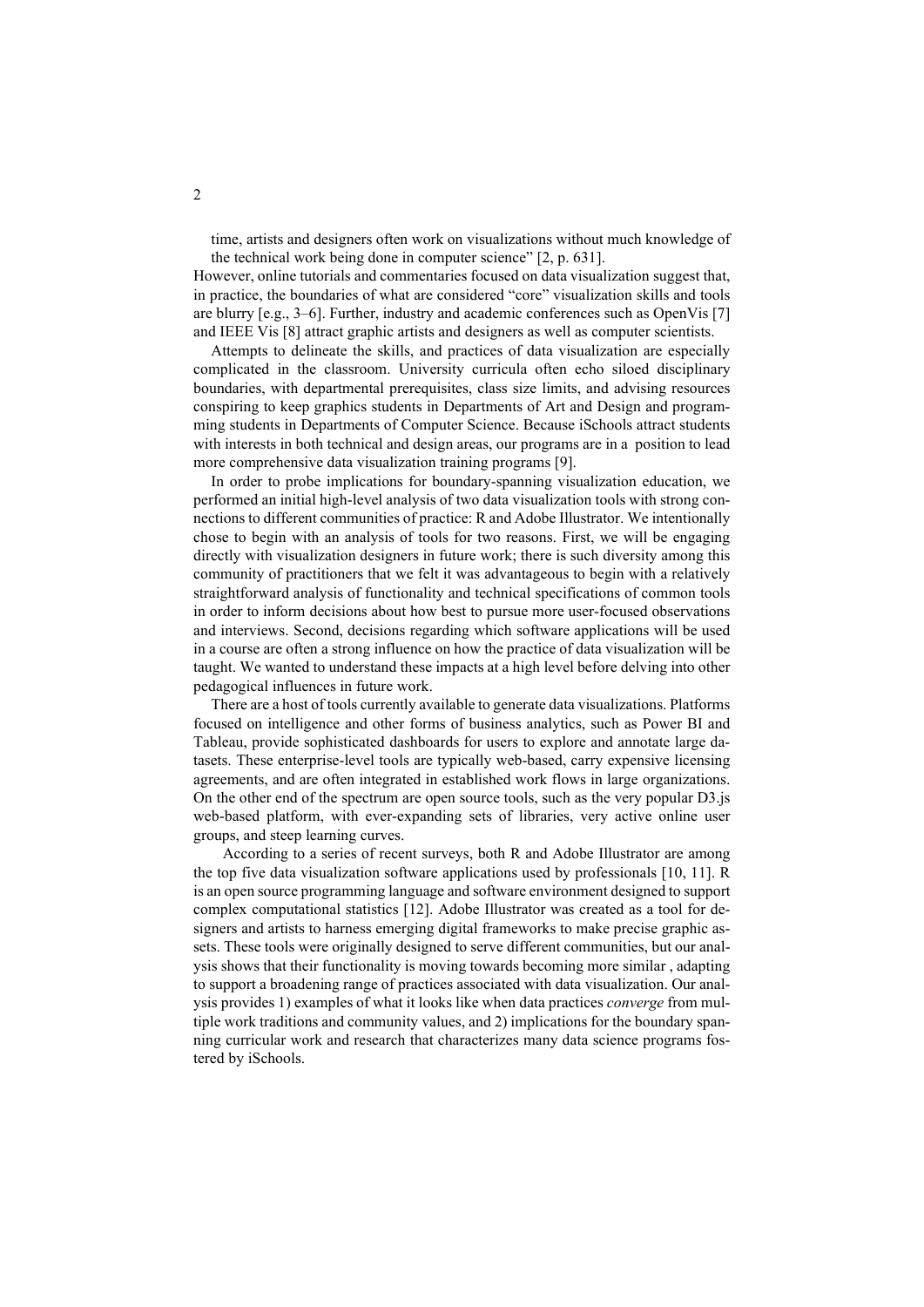time, artists and designers often work on visualizations without much knowledge of the technical work being done in computer science" [2, p. 631].

However, online tutorials and commentaries focused on data visualization suggest that, in practice, the boundaries of what are considered "core" visualization skills and tools are blurry [e.g., 3–6]. Further, industry and academic conferences such as OpenVis [7] and IEEE Vis [8] attract graphic artists and designers as well as computer scientists.

Attempts to delineate the skills, and practices of data visualization are especially complicated in the classroom. University curricula often echo siloed disciplinary boundaries, with departmental prerequisites, class size limits, and advising resources conspiring to keep graphics students in Departments of Art and Design and programming students in Departments of Computer Science. Because iSchools attract students with interests in both technical and design areas, our programs are in a position to lead more comprehensive data visualization training programs [9].

In order to probe implications for boundary-spanning visualization education, we performed an initial high-level analysis of two data visualization tools with strong connections to different communities of practice: R and Adobe Illustrator. We intentionally chose to begin with an analysis of tools for two reasons. First, we will be engaging directly with visualization designers in future work; there is such diversity among this community of practitioners that we felt it was advantageous to begin with a relatively straightforward analysis of functionality and technical specifications of common tools in order to inform decisions about how best to pursue more user-focused observations and interviews. Second, decisions regarding which software applications will be used in a course are often a strong influence on how the practice of data visualization will be taught. We wanted to understand these impacts at a high level before delving into other pedagogical influences in future work.

There are a host of tools currently available to generate data visualizations. Platforms focused on intelligence and other forms of business analytics, such as Power BI and Tableau, provide sophisticated dashboards for users to explore and annotate large datasets. These enterprise-level tools are typically web-based, carry expensive licensing agreements, and are often integrated in established work flows in large organizations. On the other end of the spectrum are open source tools, such as the very popular D3.js web-based platform, with ever-expanding sets of libraries, very active online user groups, and steep learning curves.

 According to a series of recent surveys, both R and Adobe Illustrator are among the top five data visualization software applications used by professionals [10, 11]. R is an open source programming language and software environment designed to support complex computational statistics [12]. Adobe Illustrator was created as a tool for designers and artists to harness emerging digital frameworks to make precise graphic assets. These tools were originally designed to serve different communities, but our analysis shows that their functionality is moving towards becoming more similar , adapting to support a broadening range of practices associated with data visualization. Our analysis provides 1) examples of what it looks like when data practices *converge* from multiple work traditions and community values, and 2) implications for the boundary spanning curricular work and research that characterizes many data science programs fostered by iSchools.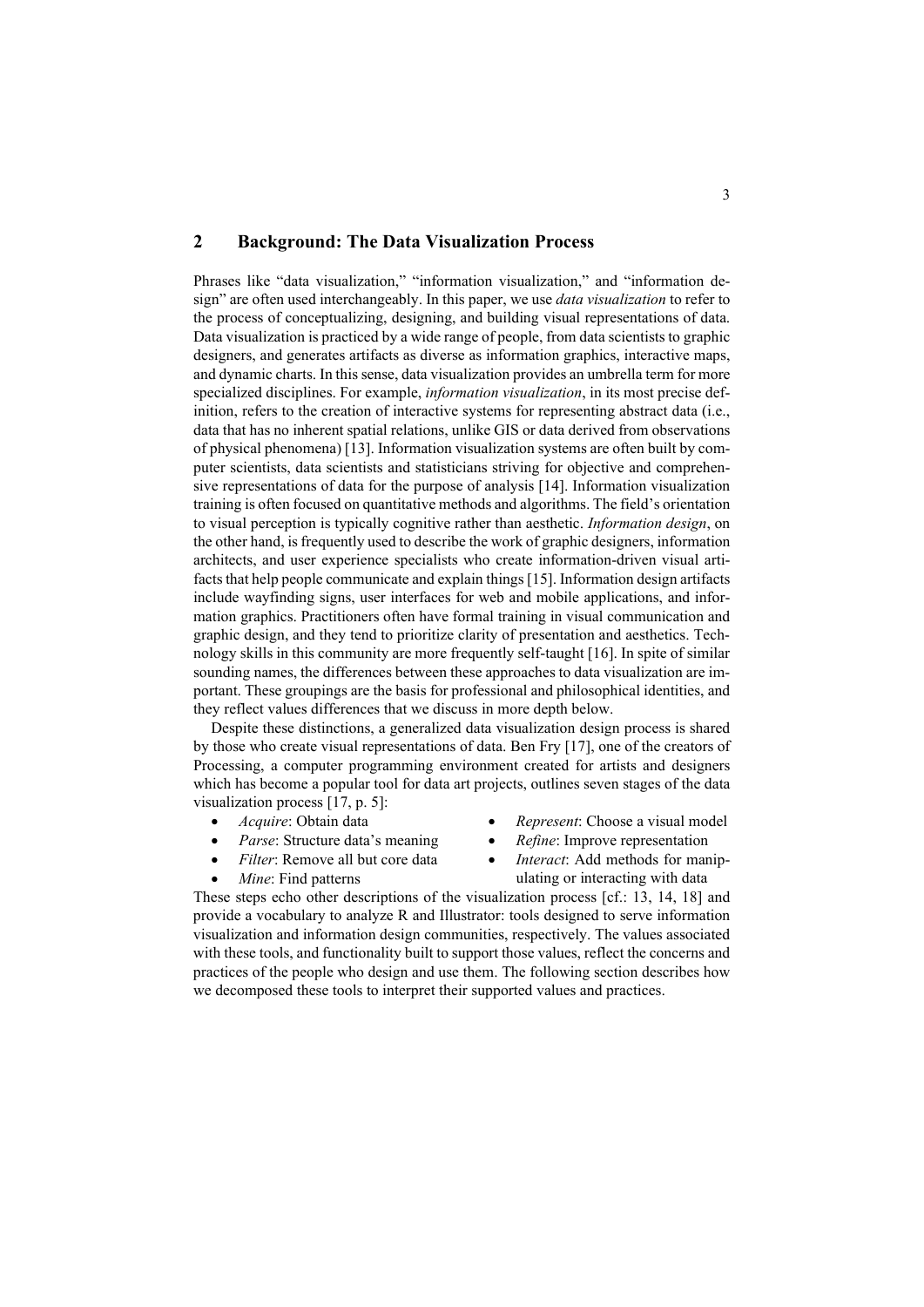# **2 Background: The Data Visualization Process**

Phrases like "data visualization," "information visualization," and "information design" are often used interchangeably. In this paper, we use *data visualization* to refer to the process of conceptualizing, designing, and building visual representations of data. Data visualization is practiced by a wide range of people, from data scientists to graphic designers, and generates artifacts as diverse as information graphics, interactive maps, and dynamic charts. In this sense, data visualization provides an umbrella term for more specialized disciplines. For example, *information visualization*, in its most precise definition, refers to the creation of interactive systems for representing abstract data (i.e., data that has no inherent spatial relations, unlike GIS or data derived from observations of physical phenomena) [13]. Information visualization systems are often built by computer scientists, data scientists and statisticians striving for objective and comprehensive representations of data for the purpose of analysis [14]. Information visualization training is often focused on quantitative methods and algorithms. The field's orientation to visual perception is typically cognitive rather than aesthetic. *Information design*, on the other hand, is frequently used to describe the work of graphic designers, information architects, and user experience specialists who create information-driven visual artifacts that help people communicate and explain things [15]. Information design artifacts include wayfinding signs, user interfaces for web and mobile applications, and information graphics. Practitioners often have formal training in visual communication and graphic design, and they tend to prioritize clarity of presentation and aesthetics. Technology skills in this community are more frequently self-taught [16]. In spite of similar sounding names, the differences between these approaches to data visualization are important. These groupings are the basis for professional and philosophical identities, and they reflect values differences that we discuss in more depth below.

Despite these distinctions, a generalized data visualization design process is shared by those who create visual representations of data. Ben Fry [17], one of the creators of Processing, a computer programming environment created for artists and designers which has become a popular tool for data art projects, outlines seven stages of the data visualization process [17, p. 5]:

- *Acquire*: Obtain data
- *Parse*: Structure data's meaning
- *Filter*: Remove all but core data
- *Mine*: Find patterns
- *Represent*: Choose a visual model
- *Refine*: Improve representation
- Interact: Add methods for manipulating or interacting with data

These steps echo other descriptions of the visualization process [cf.: 13, 14, 18] and provide a vocabulary to analyze R and Illustrator: tools designed to serve information visualization and information design communities, respectively. The values associated with these tools, and functionality built to support those values, reflect the concerns and practices of the people who design and use them. The following section describes how we decomposed these tools to interpret their supported values and practices.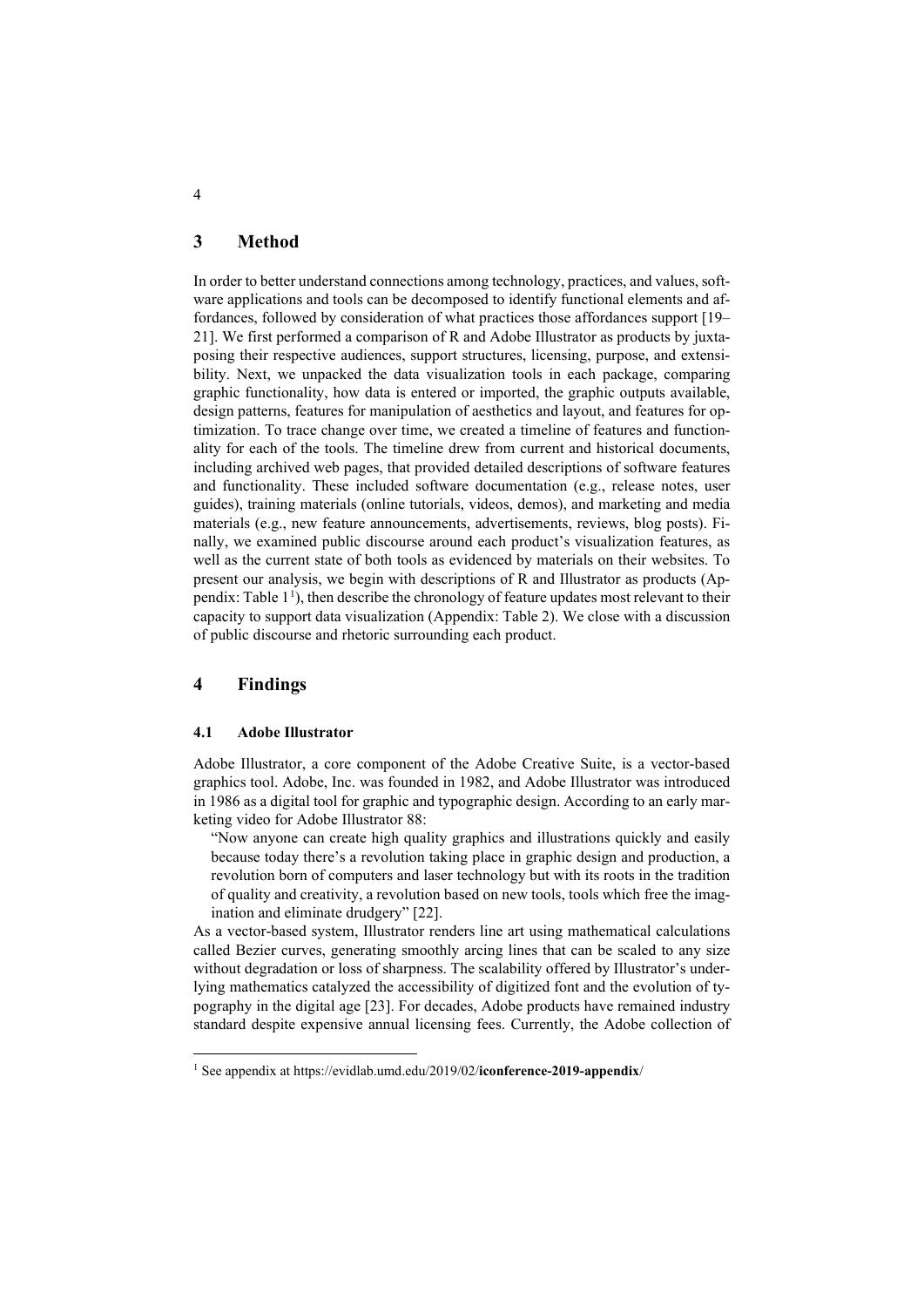# **3 Method**

In order to better understand connections among technology, practices, and values, software applications and tools can be decomposed to identify functional elements and affordances, followed by consideration of what practices those affordances support [19– 21]. We first performed a comparison of R and Adobe Illustrator as products by juxtaposing their respective audiences, support structures, licensing, purpose, and extensibility. Next, we unpacked the data visualization tools in each package, comparing graphic functionality, how data is entered or imported, the graphic outputs available, design patterns, features for manipulation of aesthetics and layout, and features for optimization. To trace change over time, we created a timeline of features and functionality for each of the tools. The timeline drew from current and historical documents, including archived web pages, that provided detailed descriptions of software features and functionality. These included software documentation (e.g., release notes, user guides), training materials (online tutorials, videos, demos), and marketing and media materials (e.g., new feature announcements, advertisements, reviews, blog posts). Finally, we examined public discourse around each product's visualization features, as well as the current state of both tools as evidenced by materials on their websites. To present our analysis, we begin with descriptions of R and Illustrator as products (Appendix: Table  $1^1$  $1^1$ ), then describe the chronology of feature updates most relevant to their capacity to support data visualization (Appendix: Table 2). We close with a discussion of public discourse and rhetoric surrounding each product.

## **4 Findings**

## **4.1 Adobe Illustrator**

Adobe Illustrator, a core component of the Adobe Creative Suite, is a vector-based graphics tool. Adobe, Inc. was founded in 1982, and Adobe Illustrator was introduced in 1986 as a digital tool for graphic and typographic design. According to an early marketing video for Adobe Illustrator 88:

"Now anyone can create high quality graphics and illustrations quickly and easily because today there's a revolution taking place in graphic design and production, a revolution born of computers and laser technology but with its roots in the tradition of quality and creativity, a revolution based on new tools, tools which free the imagination and eliminate drudgery" [22].

As a vector-based system, Illustrator renders line art using mathematical calculations called Bezier curves, generating smoothly arcing lines that can be scaled to any size without degradation or loss of sharpness. The scalability offered by Illustrator's underlying mathematics catalyzed the accessibility of digitized font and the evolution of typography in the digital age [23]. For decades, Adobe products have remained industry standard despite expensive annual licensing fees. Currently, the Adobe collection of

<span id="page-3-0"></span><sup>1</sup> See appendix at [https://evidlab.umd.edu/2019/02/](https://evidlab.umd.edu/2019/02/iconference-2019-appendix/)**iconference-2019-appendix**/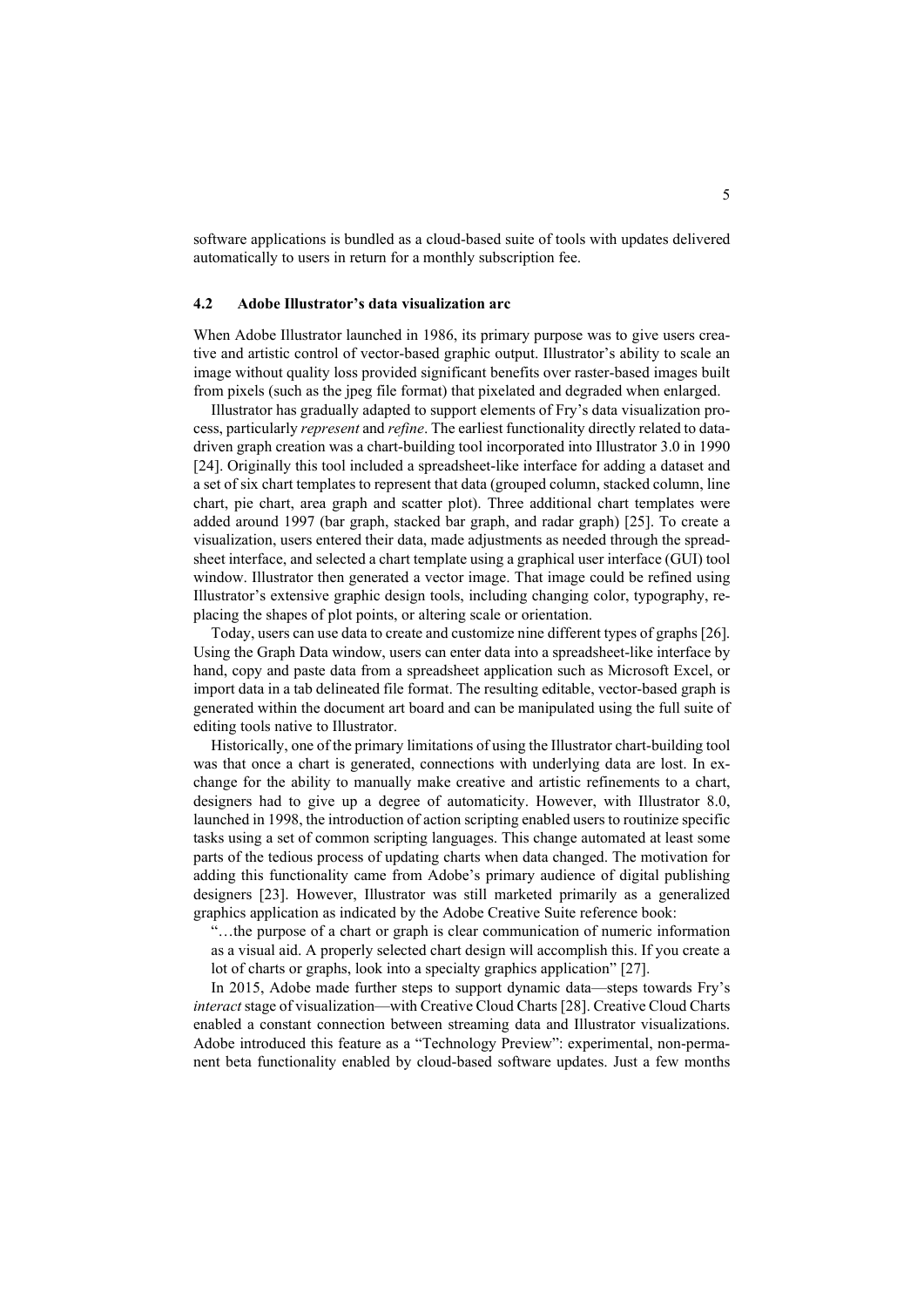software applications is bundled as a cloud-based suite of tools with updates delivered automatically to users in return for a monthly subscription fee.

#### **4.2 Adobe Illustrator's data visualization arc**

When Adobe Illustrator launched in 1986, its primary purpose was to give users creative and artistic control of vector-based graphic output. Illustrator's ability to scale an image without quality loss provided significant benefits over raster-based images built from pixels (such as the jpeg file format) that pixelated and degraded when enlarged.

Illustrator has gradually adapted to support elements of Fry's data visualization process, particularly *represent* and *refine*. The earliest functionality directly related to datadriven graph creation was a chart-building tool incorporated into Illustrator 3.0 in 1990 [24]. Originally this tool included a spreadsheet-like interface for adding a dataset and a set of six chart templates to represent that data (grouped column, stacked column, line chart, pie chart, area graph and scatter plot). Three additional chart templates were added around 1997 (bar graph, stacked bar graph, and radar graph) [25]. To create a visualization, users entered their data, made adjustments as needed through the spreadsheet interface, and selected a chart template using a graphical user interface (GUI) tool window. Illustrator then generated a vector image. That image could be refined using Illustrator's extensive graphic design tools, including changing color, typography, replacing the shapes of plot points, or altering scale or orientation.

Today, users can use data to create and customize nine different types of graphs [26]. Using the Graph Data window, users can enter data into a spreadsheet-like interface by hand, copy and paste data from a spreadsheet application such as Microsoft Excel, or import data in a tab delineated file format. The resulting editable, vector-based graph is generated within the document art board and can be manipulated using the full suite of editing tools native to Illustrator.

Historically, one of the primary limitations of using the Illustrator chart-building tool was that once a chart is generated, connections with underlying data are lost. In exchange for the ability to manually make creative and artistic refinements to a chart, designers had to give up a degree of automaticity. However, with Illustrator 8.0, launched in 1998, the introduction of action scripting enabled users to routinize specific tasks using a set of common scripting languages. This change automated at least some parts of the tedious process of updating charts when data changed. The motivation for adding this functionality came from Adobe's primary audience of digital publishing designers [23]. However, Illustrator was still marketed primarily as a generalized graphics application as indicated by the Adobe Creative Suite reference book:

"…the purpose of a chart or graph is clear communication of numeric information as a visual aid. A properly selected chart design will accomplish this. If you create a lot of charts or graphs, look into a specialty graphics application" [27].

In 2015, Adobe made further steps to support dynamic data—steps towards Fry's *interact* stage of visualization—with Creative Cloud Charts [28]. Creative Cloud Charts enabled a constant connection between streaming data and Illustrator visualizations. Adobe introduced this feature as a "Technology Preview": experimental, non-permanent beta functionality enabled by cloud-based software updates. Just a few months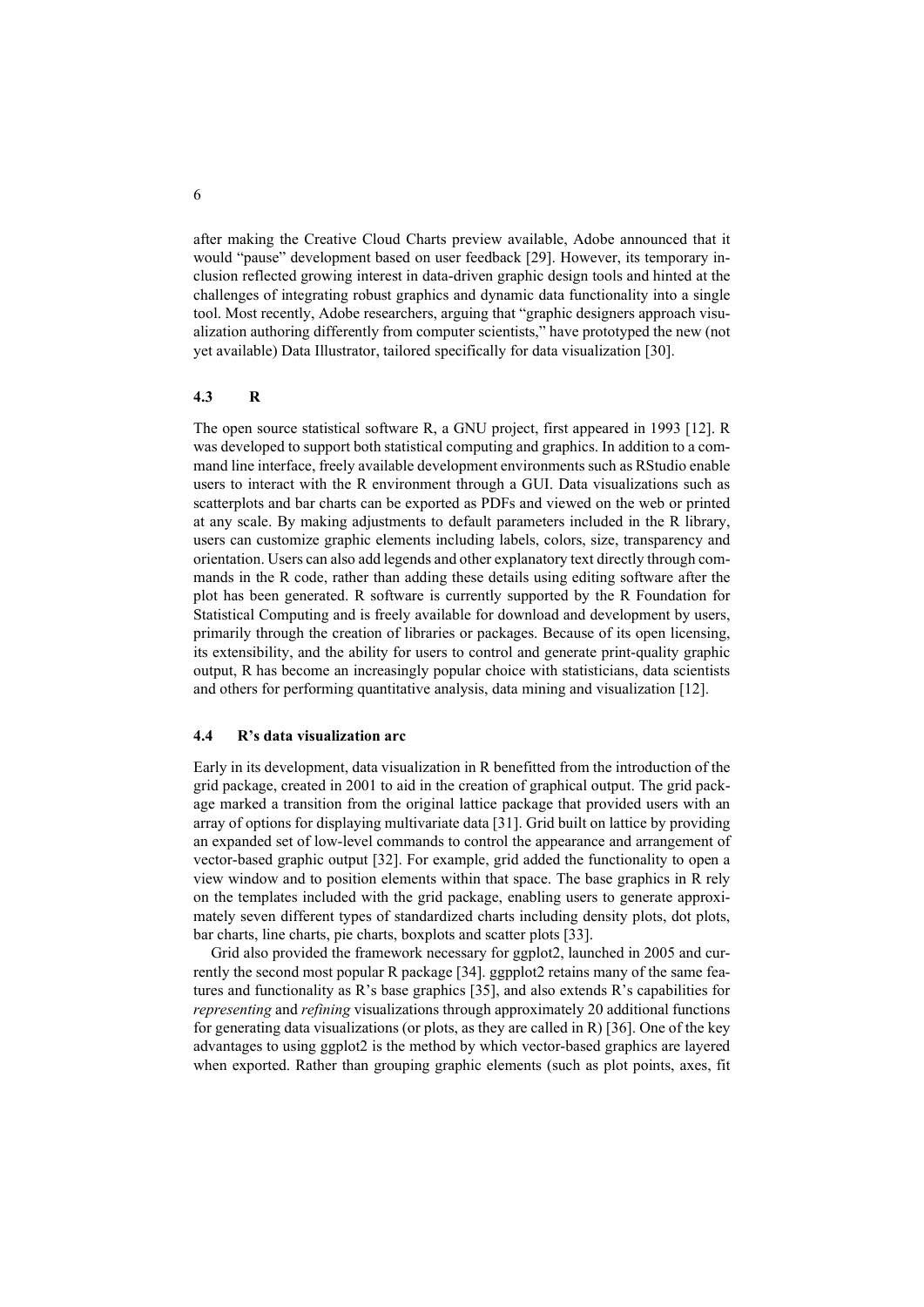after making the Creative Cloud Charts preview available, Adobe announced that it would "pause" development based on user feedback [29]. However, its temporary inclusion reflected growing interest in data-driven graphic design tools and hinted at the challenges of integrating robust graphics and dynamic data functionality into a single tool. Most recently, Adobe researchers, arguing that "graphic designers approach visualization authoring differently from computer scientists," have prototyped the new (not yet available) Data Illustrator, tailored specifically for data visualization [30].

## **4.3 R**

The open source statistical software R, a GNU project, first appeared in 1993 [12]. R was developed to support both statistical computing and graphics. In addition to a command line interface, freely available development environments such as RStudio enable users to interact with the R environment through a GUI. Data visualizations such as scatterplots and bar charts can be exported as PDFs and viewed on the web or printed at any scale. By making adjustments to default parameters included in the R library, users can customize graphic elements including labels, colors, size, transparency and orientation. Users can also add legends and other explanatory text directly through commands in the R code, rather than adding these details using editing software after the plot has been generated. R software is currently supported by the R Foundation for Statistical Computing and is freely available for download and development by users, primarily through the creation of libraries or packages. Because of its open licensing, its extensibility, and the ability for users to control and generate print-quality graphic output, R has become an increasingly popular choice with statisticians, data scientists and others for performing quantitative analysis, data mining and visualization [12].

#### **4.4 R's data visualization arc**

Early in its development, data visualization in R benefitted from the introduction of the grid package, created in 2001 to aid in the creation of graphical output. The grid package marked a transition from the original lattice package that provided users with an array of options for displaying multivariate data [31]. Grid built on lattice by providing an expanded set of low-level commands to control the appearance and arrangement of vector-based graphic output [32]. For example, grid added the functionality to open a view window and to position elements within that space. The base graphics in R rely on the templates included with the grid package, enabling users to generate approximately seven different types of standardized charts including density plots, dot plots, bar charts, line charts, pie charts, boxplots and scatter plots [33].

Grid also provided the framework necessary for ggplot2, launched in 2005 and currently the second most popular R package [34]. ggpplot2 retains many of the same features and functionality as R's base graphics [35], and also extends R's capabilities for *representing* and *refining* visualizations through approximately 20 additional functions for generating data visualizations (or plots, as they are called in R) [36]. One of the key advantages to using ggplot2 is the method by which vector-based graphics are layered when exported. Rather than grouping graphic elements (such as plot points, axes, fit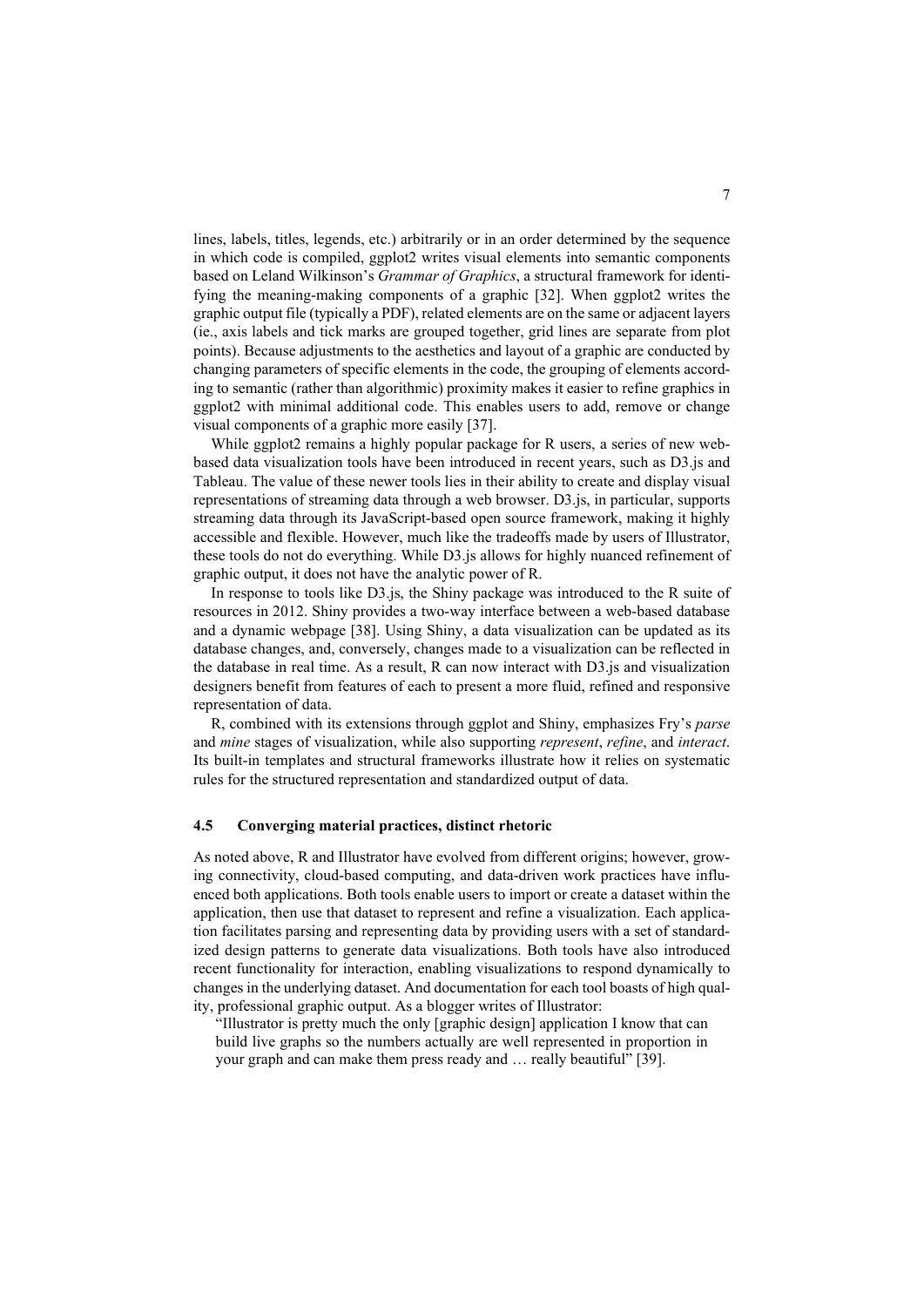lines, labels, titles, legends, etc.) arbitrarily or in an order determined by the sequence in which code is compiled, ggplot2 writes visual elements into semantic components based on Leland Wilkinson's *Grammar of Graphics*, a structural framework for identifying the meaning-making components of a graphic [32]. When ggplot2 writes the graphic output file (typically a PDF), related elements are on the same or adjacent layers (ie., axis labels and tick marks are grouped together, grid lines are separate from plot points). Because adjustments to the aesthetics and layout of a graphic are conducted by changing parameters of specific elements in the code, the grouping of elements according to semantic (rather than algorithmic) proximity makes it easier to refine graphics in ggplot2 with minimal additional code. This enables users to add, remove or change visual components of a graphic more easily [37].

While ggplot2 remains a highly popular package for R users, a series of new webbased data visualization tools have been introduced in recent years, such as D3.js and Tableau. The value of these newer tools lies in their ability to create and display visual representations of streaming data through a web browser. D3.js, in particular, supports streaming data through its JavaScript-based open source framework, making it highly accessible and flexible. However, much like the tradeoffs made by users of Illustrator, these tools do not do everything. While D3.js allows for highly nuanced refinement of graphic output, it does not have the analytic power of R.

In response to tools like D3.js, the Shiny package was introduced to the R suite of resources in 2012. Shiny provides a two-way interface between a web-based database and a dynamic webpage [38]. Using Shiny, a data visualization can be updated as its database changes, and, conversely, changes made to a visualization can be reflected in the database in real time. As a result, R can now interact with D3.js and visualization designers benefit from features of each to present a more fluid, refined and responsive representation of data.

R, combined with its extensions through ggplot and Shiny, emphasizes Fry's *parse*  and *mine* stages of visualization, while also supporting *represent*, *refine*, and *interact*. Its built-in templates and structural frameworks illustrate how it relies on systematic rules for the structured representation and standardized output of data.

## **4.5 Converging material practices, distinct rhetoric**

As noted above, R and Illustrator have evolved from different origins; however, growing connectivity, cloud-based computing, and data-driven work practices have influenced both applications. Both tools enable users to import or create a dataset within the application, then use that dataset to represent and refine a visualization. Each application facilitates parsing and representing data by providing users with a set of standardized design patterns to generate data visualizations. Both tools have also introduced recent functionality for interaction, enabling visualizations to respond dynamically to changes in the underlying dataset. And documentation for each tool boasts of high quality, professional graphic output. As a blogger writes of Illustrator:

"Illustrator is pretty much the only [graphic design] application I know that can build live graphs so the numbers actually are well represented in proportion in your graph and can make them press ready and … really beautiful" [39].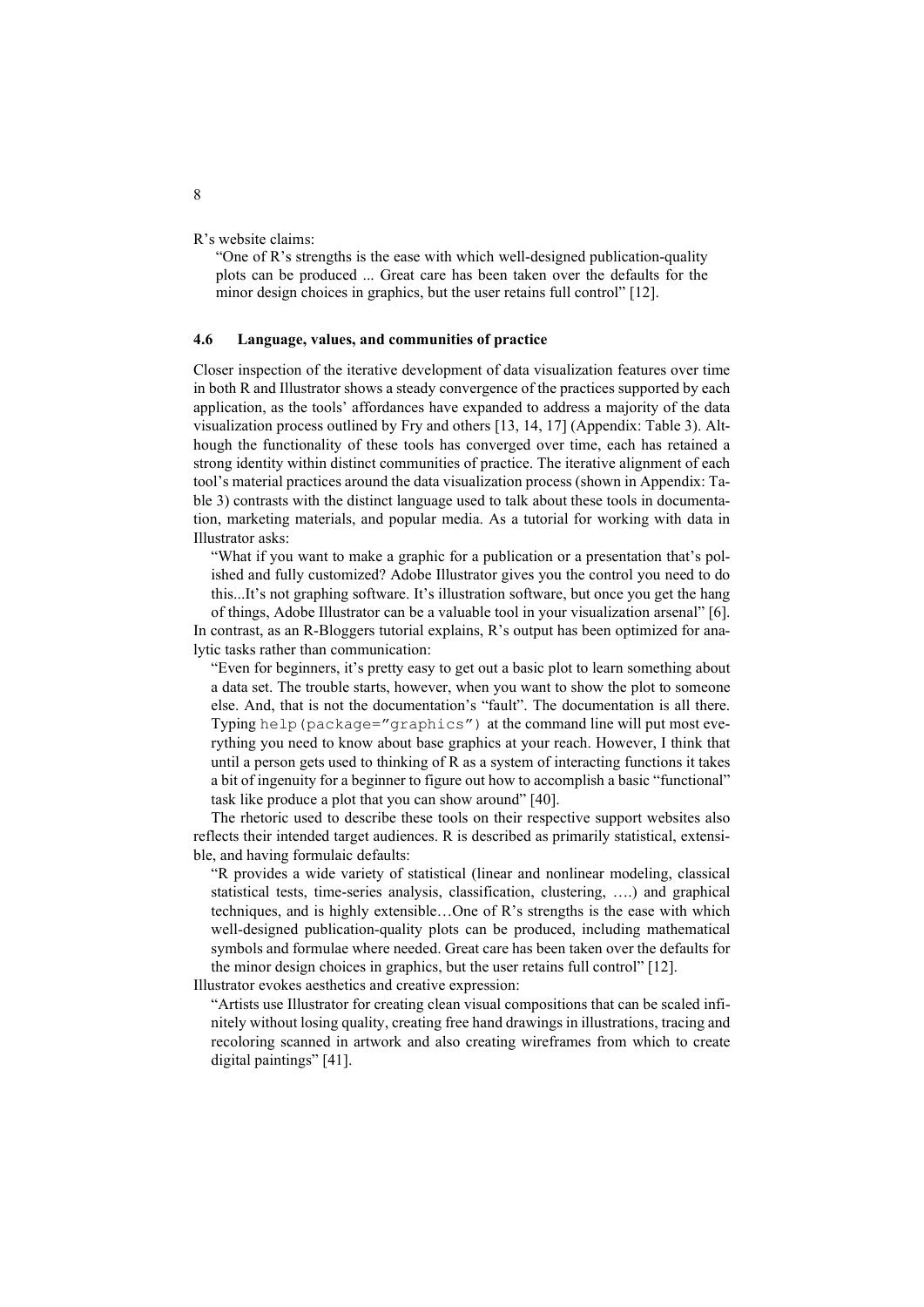R's website claims:

"One of R's strengths is the ease with which well-designed publication-quality plots can be produced ... Great care has been taken over the defaults for the minor design choices in graphics, but the user retains full control" [12].

#### **4.6 Language, values, and communities of practice**

Closer inspection of the iterative development of data visualization features over time in both R and Illustrator shows a steady convergence of the practices supported by each application, as the tools' affordances have expanded to address a majority of the data visualization process outlined by Fry and others [13, 14, 17] (Appendix: Table 3). Although the functionality of these tools has converged over time, each has retained a strong identity within distinct communities of practice. The iterative alignment of each tool's material practices around the data visualization process (shown in Appendix: Table 3) contrasts with the distinct language used to talk about these tools in documentation, marketing materials, and popular media. As a tutorial for working with data in Illustrator asks:

"What if you want to make a graphic for a publication or a presentation that's polished and fully customized? Adobe Illustrator gives you the control you need to do this...It's not graphing software. It's illustration software, but once you get the hang of things, Adobe Illustrator can be a valuable tool in your visualization arsenal" [6]. In contrast, as an R-Bloggers tutorial explains, R's output has been optimized for analytic tasks rather than communication:

"Even for beginners, it's pretty easy to get out a basic plot to learn something about a data set. The trouble starts, however, when you want to show the plot to someone else. And, that is not the documentation's "fault". The documentation is all there. Typing help(package="graphics") at the command line will put most everything you need to know about base graphics at your reach. However, I think that until a person gets used to thinking of R as a system of interacting functions it takes a bit of ingenuity for a beginner to figure out how to accomplish a basic "functional" task like produce a plot that you can show around" [40].

The rhetoric used to describe these tools on their respective support websites also reflects their intended target audiences. R is described as primarily statistical, extensible, and having formulaic defaults:

"R provides a wide variety of statistical (linear and nonlinear modeling, classical statistical tests, time-series analysis, classification, clustering, ….) and graphical techniques, and is highly extensible…One of R's strengths is the ease with which well-designed publication-quality plots can be produced, including mathematical symbols and formulae where needed. Great care has been taken over the defaults for the minor design choices in graphics, but the user retains full control" [12].

Illustrator evokes aesthetics and creative expression:

"Artists use Illustrator for creating clean visual compositions that can be scaled infinitely without losing quality, creating free hand drawings in illustrations, tracing and recoloring scanned in artwork and also creating wireframes from which to create digital paintings" [41].

8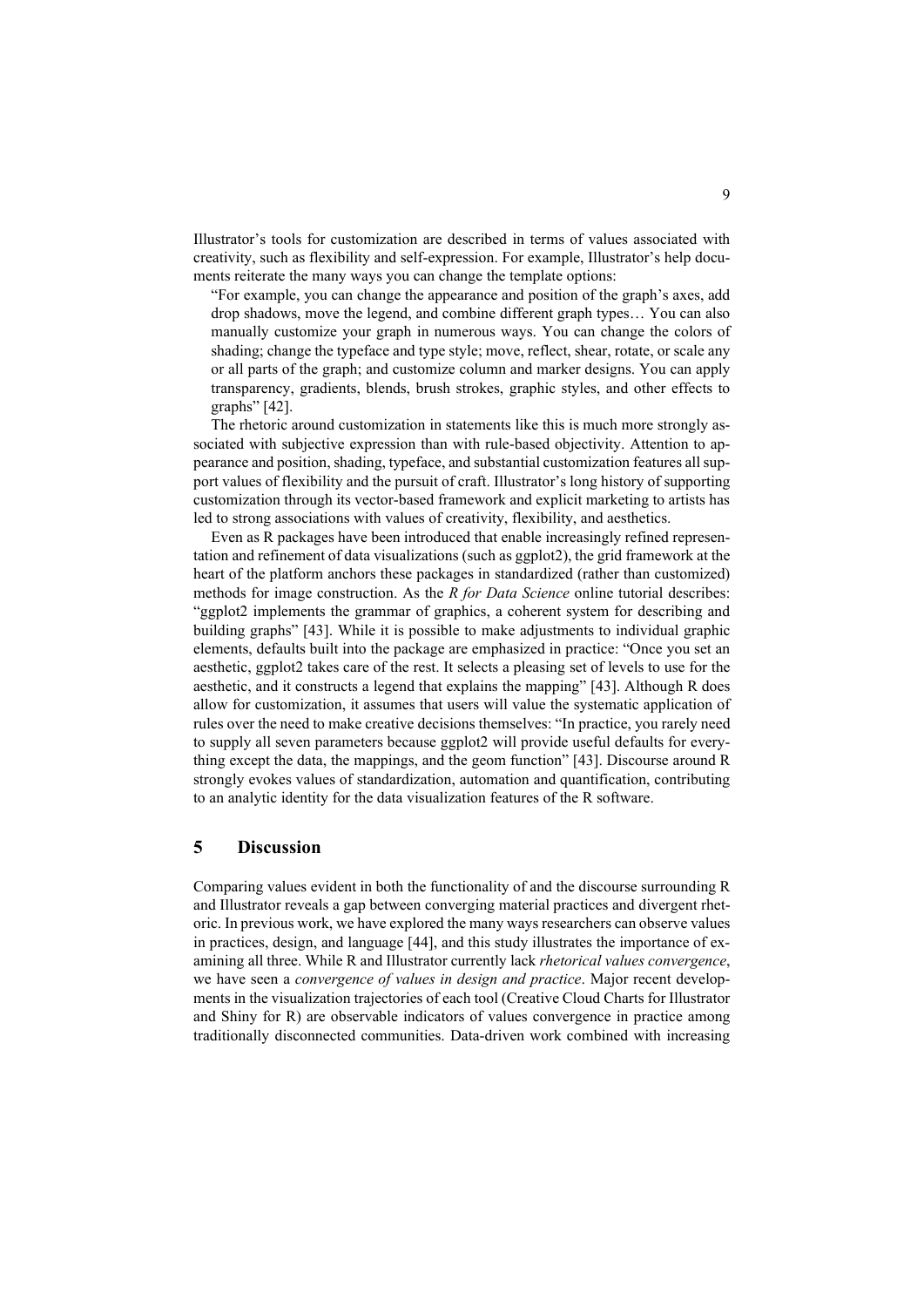Illustrator's tools for customization are described in terms of values associated with creativity, such as flexibility and self-expression. For example, Illustrator's help documents reiterate the many ways you can change the template options:

"For example, you can change the appearance and position of the graph's axes, add drop shadows, move the legend, and combine different graph types… You can also manually customize your graph in numerous ways. You can change the colors of shading; change the typeface and type style; move, reflect, shear, rotate, or scale any or all parts of the graph; and customize column and marker designs. You can apply transparency, gradients, blends, brush strokes, graphic styles, and other effects to graphs" [42].

The rhetoric around customization in statements like this is much more strongly associated with subjective expression than with rule-based objectivity. Attention to appearance and position, shading, typeface, and substantial customization features all support values of flexibility and the pursuit of craft. Illustrator's long history of supporting customization through its vector-based framework and explicit marketing to artists has led to strong associations with values of creativity, flexibility, and aesthetics.

Even as R packages have been introduced that enable increasingly refined representation and refinement of data visualizations (such as ggplot2), the grid framework at the heart of the platform anchors these packages in standardized (rather than customized) methods for image construction. As the *R for Data Science* online tutorial describes: "ggplot2 implements the grammar of graphics, a coherent system for describing and building graphs" [43]. While it is possible to make adjustments to individual graphic elements, defaults built into the package are emphasized in practice: "Once you set an aesthetic, ggplot2 takes care of the rest. It selects a pleasing set of levels to use for the aesthetic, and it constructs a legend that explains the mapping" [43]. Although R does allow for customization, it assumes that users will value the systematic application of rules over the need to make creative decisions themselves: "In practice, you rarely need to supply all seven parameters because ggplot2 will provide useful defaults for everything except the data, the mappings, and the geom function" [43]. Discourse around R strongly evokes values of standardization, automation and quantification, contributing to an analytic identity for the data visualization features of the R software.

# **5 Discussion**

Comparing values evident in both the functionality of and the discourse surrounding R and Illustrator reveals a gap between converging material practices and divergent rhetoric. In previous work, we have explored the many ways researchers can observe values in practices, design, and language [44], and this study illustrates the importance of examining all three. While R and Illustrator currently lack *rhetorical values convergence*, we have seen a *convergence of values in design and practice*. Major recent developments in the visualization trajectories of each tool (Creative Cloud Charts for Illustrator and Shiny for R) are observable indicators of values convergence in practice among traditionally disconnected communities. Data-driven work combined with increasing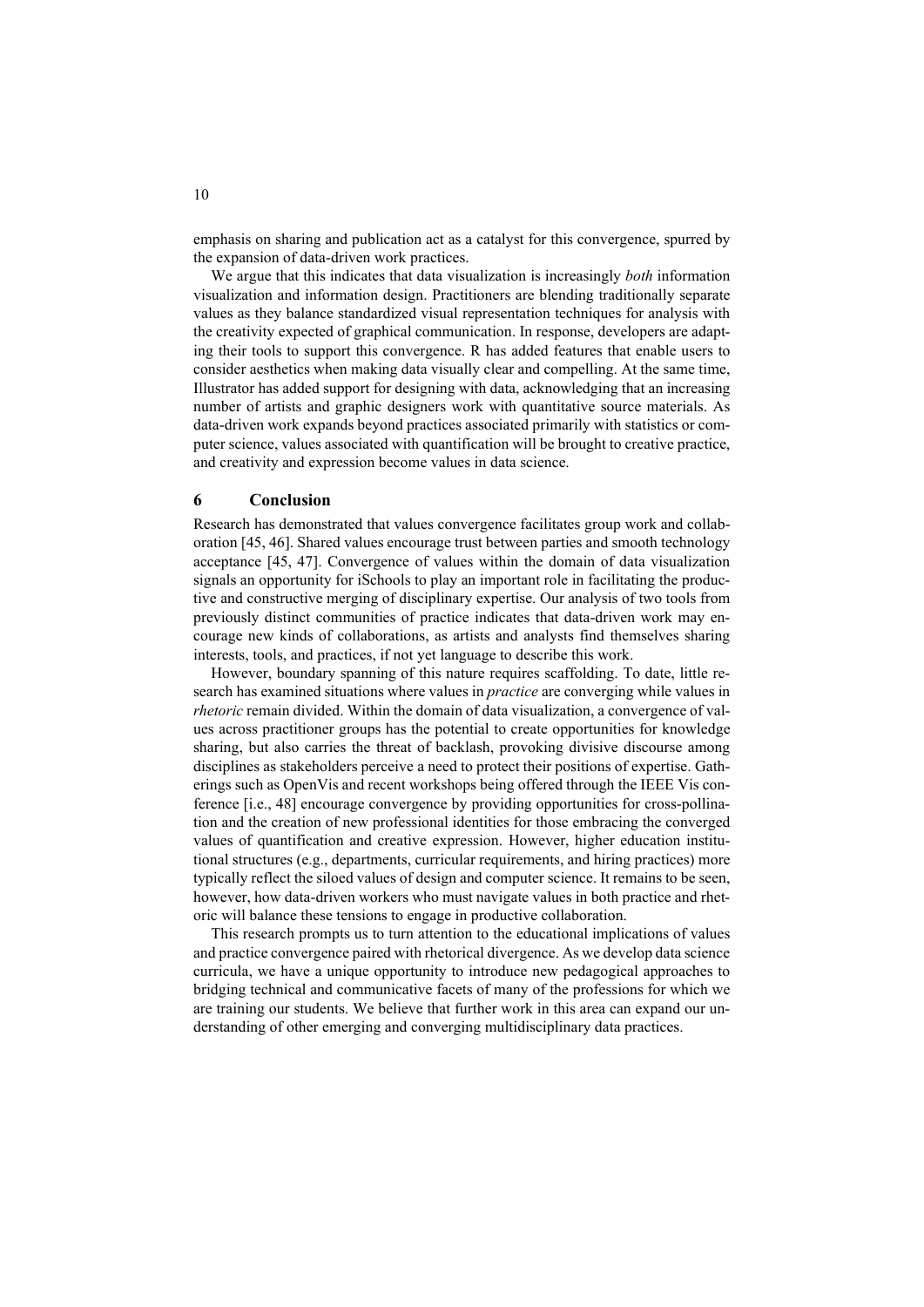emphasis on sharing and publication act as a catalyst for this convergence, spurred by the expansion of data-driven work practices.

We argue that this indicates that data visualization is increasingly *both* information visualization and information design. Practitioners are blending traditionally separate values as they balance standardized visual representation techniques for analysis with the creativity expected of graphical communication. In response, developers are adapting their tools to support this convergence. R has added features that enable users to consider aesthetics when making data visually clear and compelling. At the same time, Illustrator has added support for designing with data, acknowledging that an increasing number of artists and graphic designers work with quantitative source materials. As data-driven work expands beyond practices associated primarily with statistics or computer science, values associated with quantification will be brought to creative practice, and creativity and expression become values in data science.

## **6 Conclusion**

Research has demonstrated that values convergence facilitates group work and collaboration [45, 46]. Shared values encourage trust between parties and smooth technology acceptance [45, 47]. Convergence of values within the domain of data visualization signals an opportunity for iSchools to play an important role in facilitating the productive and constructive merging of disciplinary expertise. Our analysis of two tools from previously distinct communities of practice indicates that data-driven work may encourage new kinds of collaborations, as artists and analysts find themselves sharing interests, tools, and practices, if not yet language to describe this work.

However, boundary spanning of this nature requires scaffolding. To date, little research has examined situations where values in *practice* are converging while values in *rhetoric* remain divided. Within the domain of data visualization, a convergence of values across practitioner groups has the potential to create opportunities for knowledge sharing, but also carries the threat of backlash, provoking divisive discourse among disciplines as stakeholders perceive a need to protect their positions of expertise. Gatherings such as OpenVis and recent workshops being offered through the IEEE Vis conference [i.e., 48] encourage convergence by providing opportunities for cross-pollination and the creation of new professional identities for those embracing the converged values of quantification and creative expression. However, higher education institutional structures (e.g., departments, curricular requirements, and hiring practices) more typically reflect the siloed values of design and computer science. It remains to be seen, however, how data-driven workers who must navigate values in both practice and rhetoric will balance these tensions to engage in productive collaboration.

This research prompts us to turn attention to the educational implications of values and practice convergence paired with rhetorical divergence. As we develop data science curricula, we have a unique opportunity to introduce new pedagogical approaches to bridging technical and communicative facets of many of the professions for which we are training our students. We believe that further work in this area can expand our understanding of other emerging and converging multidisciplinary data practices.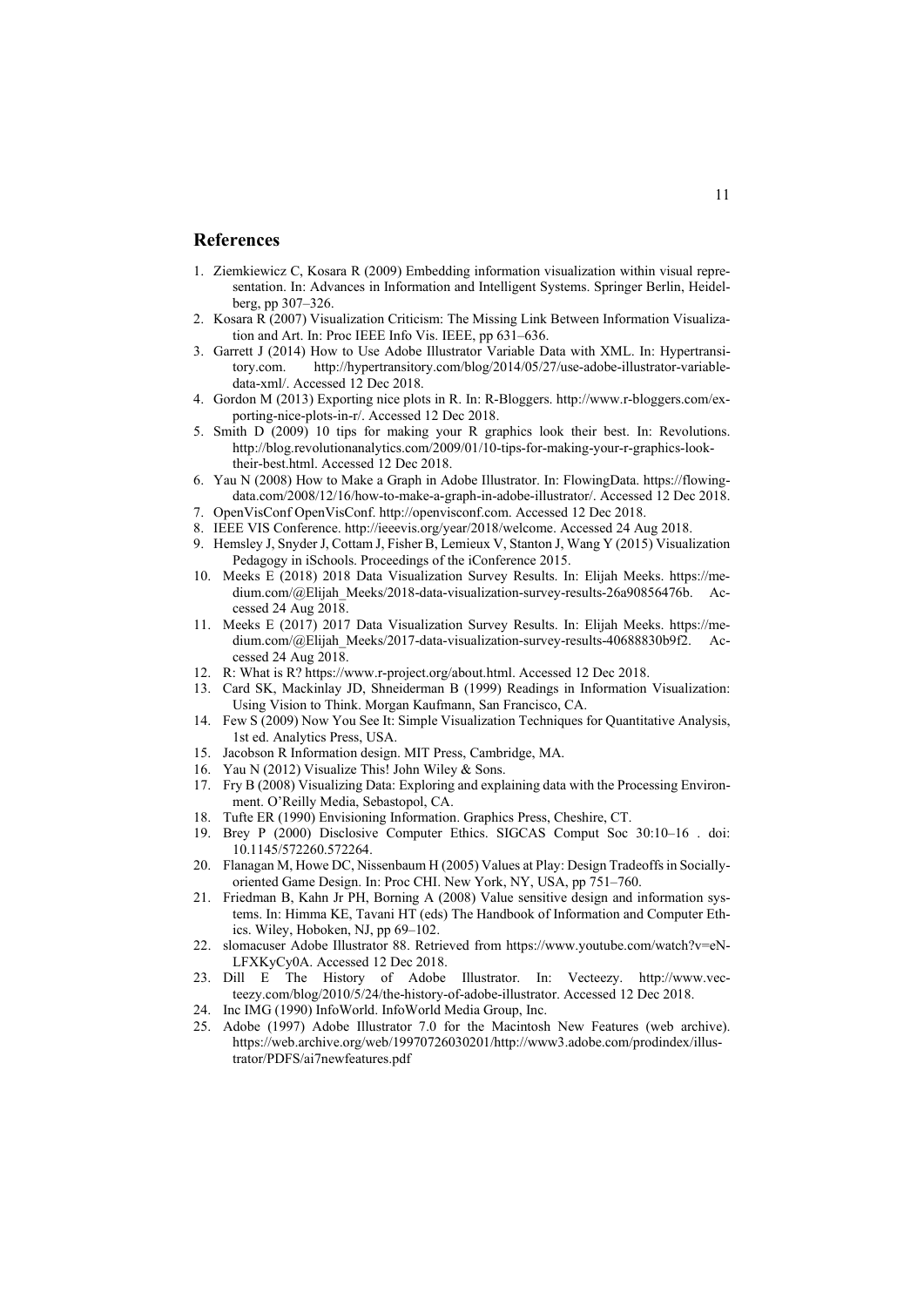## **References**

- 1. Ziemkiewicz C, Kosara R (2009) Embedding information visualization within visual representation. In: Advances in Information and Intelligent Systems. Springer Berlin, Heidelberg, pp 307–326.
- 2. Kosara R (2007) Visualization Criticism: The Missing Link Between Information Visualization and Art. In: Proc IEEE Info Vis. IEEE, pp 631–636.
- 3. Garrett J (2014) How to Use Adobe Illustrator Variable Data with XML. In: Hypertransitory.com. http://hypertransitory.com/blog/2014/05/27/use-adobe-illustrator-variabledata-xml/. Accessed 12 Dec 2018.
- 4. Gordon M (2013) Exporting nice plots in R. In: R-Bloggers. http://www.r-bloggers.com/exporting-nice-plots-in-r/. Accessed 12 Dec 2018.
- 5. Smith D (2009) 10 tips for making your R graphics look their best. In: Revolutions. http://blog.revolutionanalytics.com/2009/01/10-tips-for-making-your-r-graphics-looktheir-best.html. Accessed 12 Dec 2018.
- 6. Yau N (2008) How to Make a Graph in Adobe Illustrator. In: FlowingData. https://flowingdata.com/2008/12/16/how-to-make-a-graph-in-adobe-illustrator/. Accessed 12 Dec 2018.
- 7. OpenVisConf OpenVisConf. http://openvisconf.com. Accessed 12 Dec 2018.
- 8. IEEE VIS Conference. http://ieeevis.org/year/2018/welcome. Accessed 24 Aug 2018.
- 9. Hemsley J, Snyder J, Cottam J, Fisher B, Lemieux V, Stanton J, Wang Y (2015) Visualization Pedagogy in iSchools. Proceedings of the iConference 2015.
- 10. Meeks E (2018) 2018 Data Visualization Survey Results. In: Elijah Meeks. https://medium.com/@Elijah\_Meeks/2018-data-visualization-survey-results-26a90856476b. Accessed 24 Aug 2018.
- 11. Meeks E (2017) 2017 Data Visualization Survey Results. In: Elijah Meeks. https://medium.com/@Elijah\_Meeks/2017-data-visualization-survey-results-40688830b9f2. Accessed 24 Aug 2018.
- 12. R: What is R? https://www.r-project.org/about.html. Accessed 12 Dec 2018.
- 13. Card SK, Mackinlay JD, Shneiderman B (1999) Readings in Information Visualization: Using Vision to Think. Morgan Kaufmann, San Francisco, CA.
- 14. Few S (2009) Now You See It: Simple Visualization Techniques for Quantitative Analysis, 1st ed. Analytics Press, USA.
- 15. Jacobson R Information design. MIT Press, Cambridge, MA.
- 16. Yau N (2012) Visualize This! John Wiley & Sons.
- 17. Fry B (2008) Visualizing Data: Exploring and explaining data with the Processing Environment. O'Reilly Media, Sebastopol, CA.
- 18. Tufte ER (1990) Envisioning Information. Graphics Press, Cheshire, CT.
- 19. Brey P (2000) Disclosive Computer Ethics. SIGCAS Comput Soc 30:10–16 . doi: 10.1145/572260.572264.
- 20. Flanagan M, Howe DC, Nissenbaum H (2005) Values at Play: Design Tradeoffs in Sociallyoriented Game Design. In: Proc CHI. New York, NY, USA, pp 751–760.
- 21. Friedman B, Kahn Jr PH, Borning A (2008) Value sensitive design and information systems. In: Himma KE, Tavani HT (eds) The Handbook of Information and Computer Ethics. Wiley, Hoboken, NJ, pp 69–102.
- 22. slomacuser Adobe Illustrator 88. Retrieved from https://www.youtube.com/watch?v=eN-LFXKyCy0A. Accessed 12 Dec 2018.
- 23. Dill E The History of Adobe Illustrator. In: Vecteezy. http://www.vecteezy.com/blog/2010/5/24/the-history-of-adobe-illustrator. Accessed 12 Dec 2018.
- 24. Inc IMG (1990) InfoWorld. InfoWorld Media Group, Inc.
- 25. Adobe (1997) Adobe Illustrator 7.0 for the Macintosh New Features (web archive). https://web.archive.org/web/19970726030201/http://www3.adobe.com/prodindex/illustrator/PDFS/ai7newfeatures.pdf